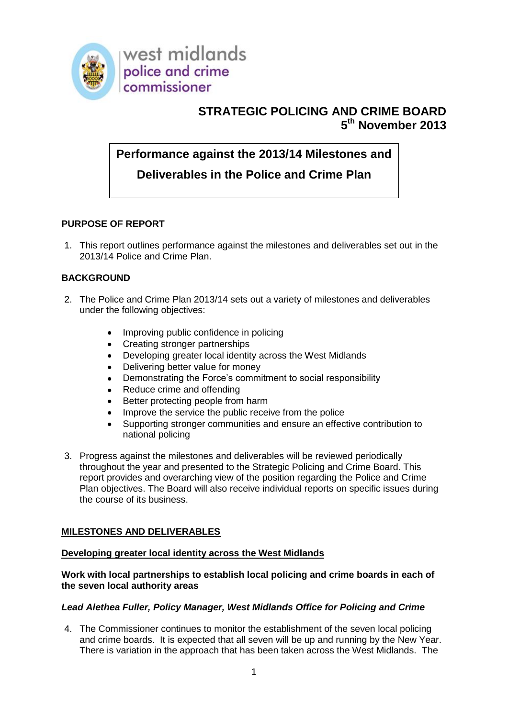

# **STRATEGIC POLICING AND CRIME BOARD 5 th November 2013**

# **Performance against the 2013/14 Milestones and**

# **Deliverables in the Police and Crime Plan**

# **PURPOSE OF REPORT**

1. This report outlines performance against the milestones and deliverables set out in the 2013/14 Police and Crime Plan.

# **BACKGROUND**

- 2. The Police and Crime Plan 2013/14 sets out a variety of milestones and deliverables under the following objectives:
	- Improving public confidence in policing
	- Creating stronger partnerships
	- Developing greater local identity across the West Midlands  $\bullet$
	- Delivering better value for money
	- Demonstrating the Force's commitment to social responsibility  $\bullet$
	- Reduce crime and offending  $\bullet$
	- Better protecting people from harm
	- Improve the service the public receive from the police
	- Supporting stronger communities and ensure an effective contribution to  $\bullet$ national policing
- 3. Progress against the milestones and deliverables will be reviewed periodically throughout the year and presented to the Strategic Policing and Crime Board. This report provides and overarching view of the position regarding the Police and Crime Plan objectives. The Board will also receive individual reports on specific issues during the course of its business.

# **MILESTONES AND DELIVERABLES**

# **Developing greater local identity across the West Midlands**

# **Work with local partnerships to establish local policing and crime boards in each of the seven local authority areas**

# *Lead Alethea Fuller, Policy Manager, West Midlands Office for Policing and Crime*

4. The Commissioner continues to monitor the establishment of the seven local policing and crime boards. It is expected that all seven will be up and running by the New Year. There is variation in the approach that has been taken across the West Midlands. The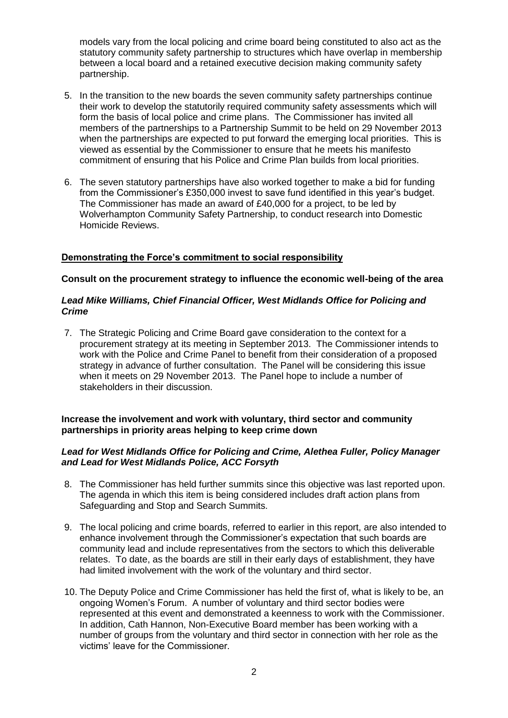models vary from the local policing and crime board being constituted to also act as the statutory community safety partnership to structures which have overlap in membership between a local board and a retained executive decision making community safety partnership.

- 5. In the transition to the new boards the seven community safety partnerships continue their work to develop the statutorily required community safety assessments which will form the basis of local police and crime plans. The Commissioner has invited all members of the partnerships to a Partnership Summit to be held on 29 November 2013 when the partnerships are expected to put forward the emerging local priorities. This is viewed as essential by the Commissioner to ensure that he meets his manifesto commitment of ensuring that his Police and Crime Plan builds from local priorities.
- 6. The seven statutory partnerships have also worked together to make a bid for funding from the Commissioner's £350,000 invest to save fund identified in this year's budget. The Commissioner has made an award of £40,000 for a project, to be led by Wolverhampton Community Safety Partnership, to conduct research into Domestic Homicide Reviews.

# **Demonstrating the Force's commitment to social responsibility**

# **Consult on the procurement strategy to influence the economic well-being of the area**

#### *Lead Mike Williams, Chief Financial Officer, West Midlands Office for Policing and Crime*

7. The Strategic Policing and Crime Board gave consideration to the context for a procurement strategy at its meeting in September 2013. The Commissioner intends to work with the Police and Crime Panel to benefit from their consideration of a proposed strategy in advance of further consultation. The Panel will be considering this issue when it meets on 29 November 2013. The Panel hope to include a number of stakeholders in their discussion.

#### **Increase the involvement and work with voluntary, third sector and community partnerships in priority areas helping to keep crime down**

#### *Lead for West Midlands Office for Policing and Crime, Alethea Fuller, Policy Manager and Lead for West Midlands Police, ACC Forsyth*

- 8. The Commissioner has held further summits since this objective was last reported upon. The agenda in which this item is being considered includes draft action plans from Safeguarding and Stop and Search Summits.
- 9. The local policing and crime boards, referred to earlier in this report, are also intended to enhance involvement through the Commissioner's expectation that such boards are community lead and include representatives from the sectors to which this deliverable relates. To date, as the boards are still in their early days of establishment, they have had limited involvement with the work of the voluntary and third sector.
- 10. The Deputy Police and Crime Commissioner has held the first of, what is likely to be, an ongoing Women's Forum. A number of voluntary and third sector bodies were represented at this event and demonstrated a keenness to work with the Commissioner. In addition, Cath Hannon, Non-Executive Board member has been working with a number of groups from the voluntary and third sector in connection with her role as the victims' leave for the Commissioner.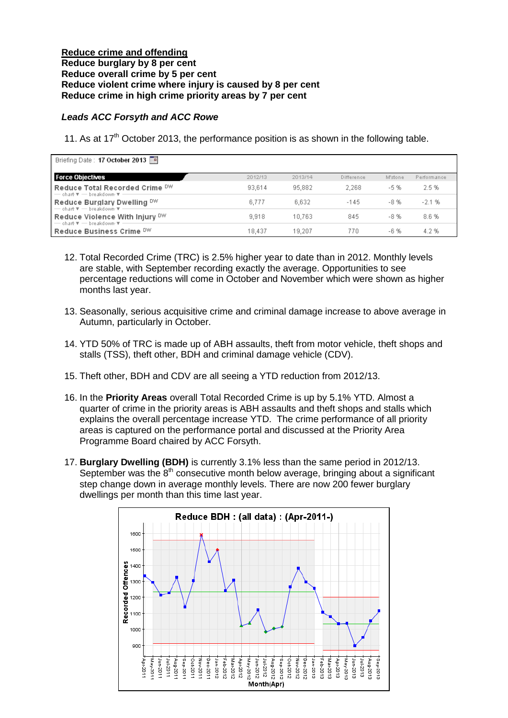#### **Reduce crime and offending Reduce burglary by 8 per cent Reduce overall crime by 5 per cent Reduce violent crime where injury is caused by 8 per cent Reduce crime in high crime priority areas by 7 per cent**

# *Leads ACC Forsyth and ACC Rowe*

11. As at  $17<sup>th</sup>$  October 2013, the performance position is as shown in the following table.

| Briefing Date: 17 October 2013                                                                            |         |         |            |         |             |
|-----------------------------------------------------------------------------------------------------------|---------|---------|------------|---------|-------------|
| <b>Force Objectives</b>                                                                                   | 2012/13 | 2013/14 | Difference | M'stone | Performance |
| Reduce Total Recorded Crime DW<br>$-$ chart $\overline{\mathbf{v}}$ $-$ breakdown $\overline{\mathbf{v}}$ | 93,614  | 95,882  | 2.268      | $-5%$   | 2.5 %       |
| Reduce Burglary Dwelling DW<br>$-$ chart $\overline{\mathbf{v}}$ $-$ breakdown $\overline{\mathbf{v}}$    | 6,777   | 6.632   | $-145$     | $-8%$   | $-2.1%$     |
| Reduce Violence With Injury DW<br>$-$ chart $\overline{\mathbf{v}}$ $-$ breakdown $\overline{\mathbf{v}}$ | 9.918   | 10.763  | 845        | $-8%$   | 8.6%        |
| Reduce Business Crime DW                                                                                  | 18.437  | 19.207  | 770        | $-6%$   | 4.2%        |

- 12. Total Recorded Crime (TRC) is 2.5% higher year to date than in 2012. Monthly levels are stable, with September recording exactly the average. Opportunities to see percentage reductions will come in October and November which were shown as higher months last year.
- 13. Seasonally, serious acquisitive crime and criminal damage increase to above average in Autumn, particularly in October.
- 14. YTD 50% of TRC is made up of ABH assaults, theft from motor vehicle, theft shops and stalls (TSS), theft other, BDH and criminal damage vehicle (CDV).
- 15. Theft other, BDH and CDV are all seeing a YTD reduction from 2012/13.
- 16. In the **Priority Areas** overall Total Recorded Crime is up by 5.1% YTD. Almost a quarter of crime in the priority areas is ABH assaults and theft shops and stalls which explains the overall percentage increase YTD. The crime performance of all priority areas is captured on the performance portal and discussed at the Priority Area Programme Board chaired by ACC Forsyth.
- 17. **Burglary Dwelling (BDH)** is currently 3.1% less than the same period in 2012/13. September was the  $8<sup>th</sup>$  consecutive month below average, bringing about a significant step change down in average monthly levels. There are now 200 fewer burglary dwellings per month than this time last year.

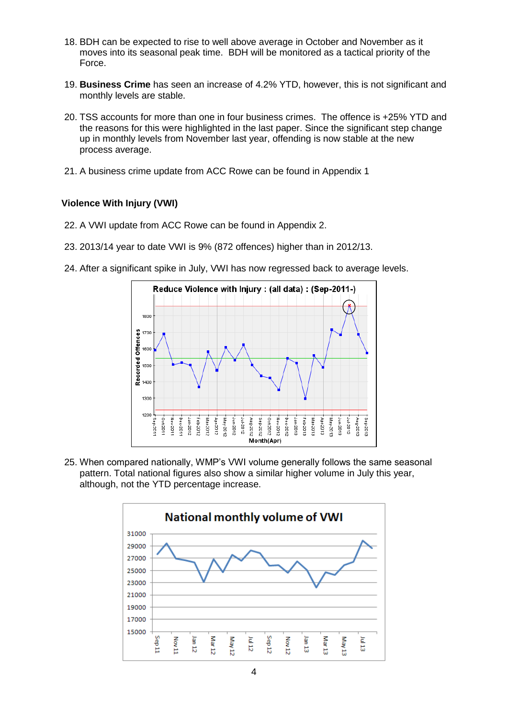- 18. BDH can be expected to rise to well above average in October and November as it moves into its seasonal peak time. BDH will be monitored as a tactical priority of the Force.
- 19. **Business Crime** has seen an increase of 4.2% YTD, however, this is not significant and monthly levels are stable.
- 20. TSS accounts for more than one in four business crimes. The offence is +25% YTD and the reasons for this were highlighted in the last paper. Since the significant step change up in monthly levels from November last year, offending is now stable at the new process average.
- 21. A business crime update from ACC Rowe can be found in Appendix 1

# **Violence With Injury (VWI)**

- 22. A VWI update from ACC Rowe can be found in Appendix 2.
- 23. 2013/14 year to date VWI is 9% (872 offences) higher than in 2012/13.
- 24. After a significant spike in July, VWI has now regressed back to average levels.



25. When compared nationally, WMP's VWI volume generally follows the same seasonal pattern. Total national figures also show a similar higher volume in July this year, although, not the YTD percentage increase.

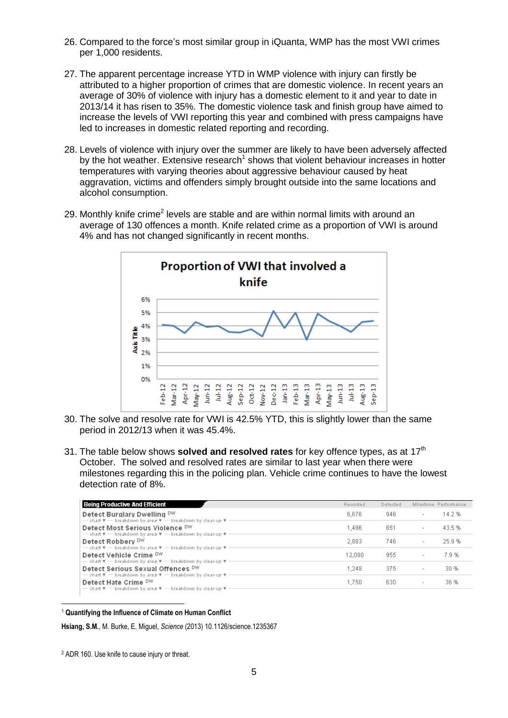- 26. Compared to the force's most similar group in iQuanta, WMP has the most VWI crimes per 1,000 residents.
- 27. The apparent percentage increase YTD in WMP violence with injury can firstly be attributed to a higher proportion of crimes that are domestic violence. In recent years an average of 30% of violence with injury has a domestic element to it and year to date in 2013/14 it has risen to 35%. The domestic violence task and finish group have aimed to increase the levels of VWI reporting this year and combined with press campaigns have led to increases in domestic related reporting and recording.
- 28. Levels of violence with injury over the summer are likely to have been adversely affected by the hot weather. Extensive research<sup>1</sup> shows that violent behaviour increases in hotter temperatures with varying theories about aggressive behaviour caused by heat aggravation, victims and offenders simply brought outside into the same locations and alcohol consumption.
- 29. Monthly knife crime<sup>2</sup> levels are stable and are within normal limits with around an average of 130 offences a month. Knife related crime as a proportion of VWI is around 4% and has not changed significantly in recent months.



- 30. The solve and resolve rate for VWI is 42.5% YTD, this is slightly lower than the same period in 2012/13 when it was 45.4%.
- 31. The table below shows **solved and resolved rates** for key offence types, as at 17th October. The solved and resolved rates are similar to last year when there were milestones regarding this in the policing plan. Vehicle crime continues to have the lowest detection rate of 8%.

| <b>Being Productive And Efficient</b>                                                                                                                                                                 | Recorded | Detected |                          | Milestone Performance |
|-------------------------------------------------------------------------------------------------------------------------------------------------------------------------------------------------------|----------|----------|--------------------------|-----------------------|
| Detect Burglary Dwelling DW<br>- chart $\overline{\mathbf{v}}$ - breakdown by area $\overline{\mathbf{v}}$ - breakdown by clear-up $\overline{\mathbf{v}}$ -                                          | 6,676    | 946      | $\overline{\phantom{a}}$ | 14.2%                 |
| Detect Most Serious Violence DW<br>$\rightarrow$ chart $\overline{\mathbf{v}}$ $\rightarrow$ breakdown by area $\overline{\mathbf{v}}$ $\rightarrow$ breakdown by clear-up- $\overline{\mathbf{v}}$ . | 1.496    | 651      | $\overline{\phantom{a}}$ | 43.5%                 |
| Detect Robbery DW<br>- chart $\overline{\mathbf{v}}$ - breakdown by area $\overline{\mathbf{v}}$ - breakdown by clear-up $\overline{\mathbf{v}}$ -                                                    | 2,883    | 746      | $\overline{\phantom{a}}$ | 25.9%                 |
| Detect Vehicle Crime DW<br>- chart $\Psi$ - breakdown by area $\Psi$ - breakdown by clear-up $\Psi$ .                                                                                                 | 12,080   | 955      | $\overline{\phantom{a}}$ | 7.9%                  |
| Detect Serious Sexual Offences DW                                                                                                                                                                     | 1,248    | 375      | $\overline{\phantom{a}}$ | 30 %                  |
| - chart $\overline{\mathbf{v}}$ - breakdown by area $\overline{\mathbf{v}}$ - breakdown by clear-up $\overline{\mathbf{v}}$ -<br>Detect Hate Crime DW                                                 | 1.750    | 630      | $\overline{\phantom{a}}$ | 36 %                  |
| - chart $\overline{\mathbf{v}}$ - breakdown by area $\overline{\mathbf{v}}$ - breakdown by clear-up- $\overline{\mathbf{v}}$ .                                                                        |          |          |                          |                       |

 $\overline{a}$ <sup>1</sup> **Quantifying the Influence of Climate on Human Conflict**

**Hsiang, S.M.**, M. Burke, E. Miguel, *Science* (2013) 10.1126/science.1235367

<sup>2</sup> ADR 160. Use knife to cause injury or threat.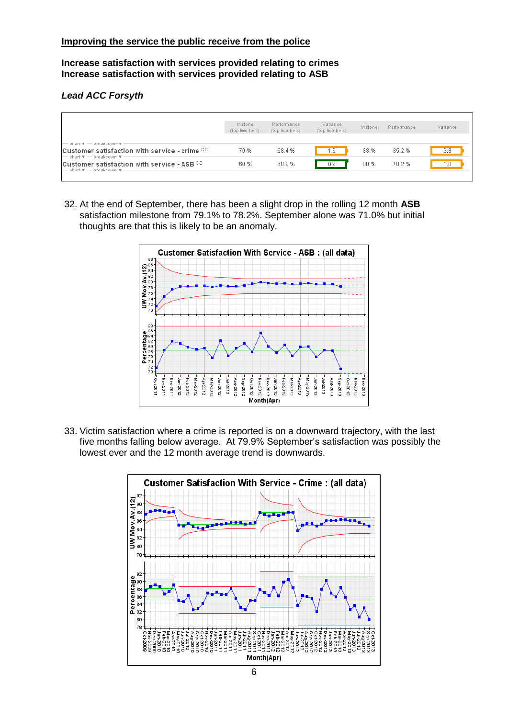**Increase satisfaction with services provided relating to crimes Increase satisfaction with services provided relating to ASB**

# *Lead ACC Forsyth*

|                                                                                                                          | M'stone<br>(top two tiers) | Performance<br>(top two tiers) | Variance<br>(top two tiers) | M'stone | Performance | Variance |
|--------------------------------------------------------------------------------------------------------------------------|----------------------------|--------------------------------|-----------------------------|---------|-------------|----------|
| $-$ channer $-$ preakqueent $\tau$<br>Customer satisfaction with service - crime CC<br>├── chart 〒 ── breakdown- 〒 -     | 70 %                       | 68.4 %                         | . 6                         | 88 %    | 85.2%       | 2.8      |
| Customer satisfaction with service - ASB CC<br>$-$ chart $\overline{\mathbf{v}}$ $-$ breakdown $\overline{\mathbf{v}}$ . | 60 %                       | 60.9%                          | J.Y.                        | 80 %    | 78.2 %      | r.8      |

32. At the end of September, there has been a slight drop in the rolling 12 month **ASB**  satisfaction milestone from 79.1% to 78.2%. September alone was 71.0% but initial thoughts are that this is likely to be an anomaly.



33. Victim satisfaction where a crime is reported is on a downward trajectory, with the last five months falling below average. At 79.9% September's satisfaction was possibly the lowest ever and the 12 month average trend is downwards.

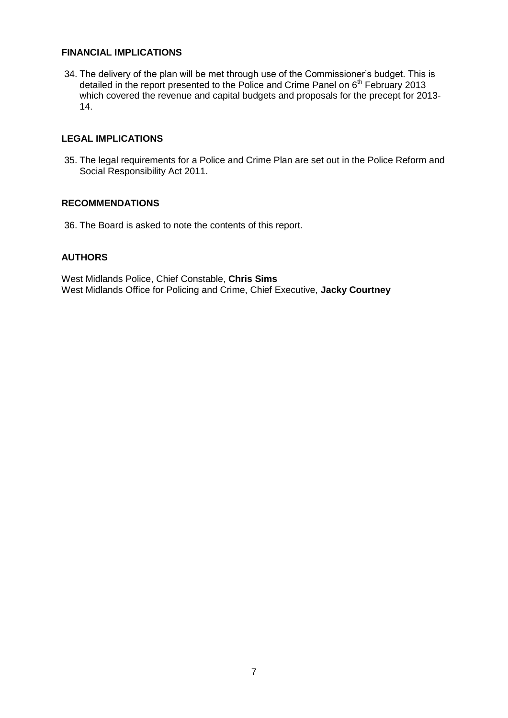# **FINANCIAL IMPLICATIONS**

34. The delivery of the plan will be met through use of the Commissioner's budget. This is detailed in the report presented to the Police and Crime Panel on  $6<sup>th</sup>$  February 2013 which covered the revenue and capital budgets and proposals for the precept for 2013- 14.

# **LEGAL IMPLICATIONS**

35. The legal requirements for a Police and Crime Plan are set out in the Police Reform and Social Responsibility Act 2011.

#### **RECOMMENDATIONS**

36. The Board is asked to note the contents of this report.

# **AUTHORS**

West Midlands Police, Chief Constable, **Chris Sims** West Midlands Office for Policing and Crime, Chief Executive, **Jacky Courtney**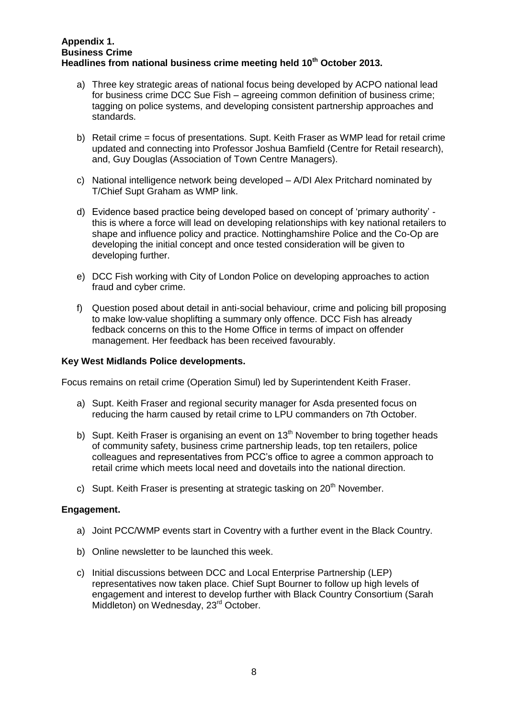#### **Appendix 1. Business Crime Headlines from national business crime meeting held 10th October 2013.**

- a) Three key strategic areas of national focus being developed by ACPO national lead for business crime DCC Sue Fish – agreeing common definition of business crime; tagging on police systems, and developing consistent partnership approaches and standards.
- b) Retail crime = focus of presentations. Supt. Keith Fraser as WMP lead for retail crime updated and connecting into Professor Joshua Bamfield (Centre for Retail research), and, Guy Douglas (Association of Town Centre Managers).
- c) National intelligence network being developed A/DI Alex Pritchard nominated by T/Chief Supt Graham as WMP link.
- d) Evidence based practice being developed based on concept of 'primary authority' this is where a force will lead on developing relationships with key national retailers to shape and influence policy and practice. Nottinghamshire Police and the Co-Op are developing the initial concept and once tested consideration will be given to developing further.
- e) DCC Fish working with City of London Police on developing approaches to action fraud and cyber crime.
- f) Question posed about detail in anti-social behaviour, crime and policing bill proposing to make low-value shoplifting a summary only offence. DCC Fish has already fedback concerns on this to the Home Office in terms of impact on offender management. Her feedback has been received favourably.

# **Key West Midlands Police developments.**

Focus remains on retail crime (Operation Simul) led by Superintendent Keith Fraser.

- a) Supt. Keith Fraser and regional security manager for Asda presented focus on reducing the harm caused by retail crime to LPU commanders on 7th October.
- b) Supt. Keith Fraser is organising an event on 13<sup>th</sup> November to bring together heads of community safety, business crime partnership leads, top ten retailers, police colleagues and representatives from PCC's office to agree a common approach to retail crime which meets local need and dovetails into the national direction.
- c) Supt. Keith Fraser is presenting at strategic tasking on  $20<sup>th</sup>$  November.

# **Engagement.**

- a) Joint PCC/WMP events start in Coventry with a further event in the Black Country.
- b) Online newsletter to be launched this week.
- c) Initial discussions between DCC and Local Enterprise Partnership (LEP) representatives now taken place. Chief Supt Bourner to follow up high levels of engagement and interest to develop further with Black Country Consortium (Sarah Middleton) on Wednesday, 23<sup>rd</sup> October.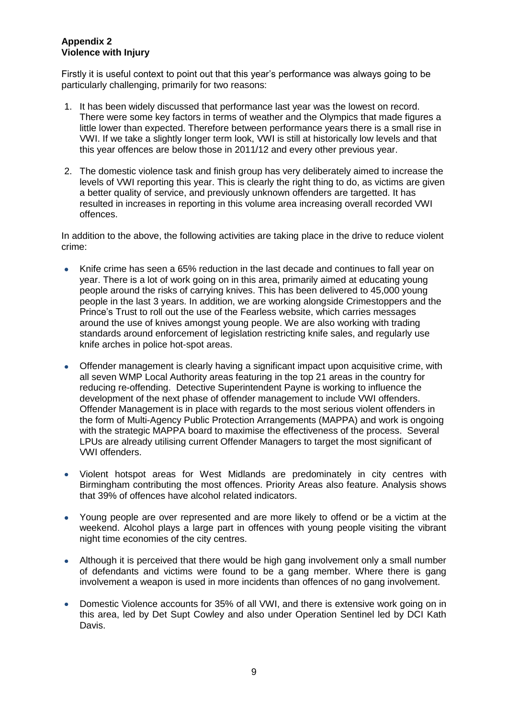#### **Appendix 2 Violence with Injury**

Firstly it is useful context to point out that this year's performance was always going to be particularly challenging, primarily for two reasons:

- 1. It has been widely discussed that performance last year was the lowest on record. There were some key factors in terms of weather and the Olympics that made figures a little lower than expected. Therefore between performance years there is a small rise in VWI. If we take a slightly longer term look, VWI is still at historically low levels and that this year offences are below those in 2011/12 and every other previous year.
- 2. The domestic violence task and finish group has very deliberately aimed to increase the levels of VWI reporting this year. This is clearly the right thing to do, as victims are given a better quality of service, and previously unknown offenders are targetted. It has resulted in increases in reporting in this volume area increasing overall recorded VWI offences.

In addition to the above, the following activities are taking place in the drive to reduce violent crime:

- $\bullet$ Knife crime has seen a 65% reduction in the last decade and continues to fall year on year. There is a lot of work going on in this area, primarily aimed at educating young people around the risks of carrying knives. This has been delivered to 45,000 young people in the last 3 years. In addition, we are working alongside Crimestoppers and the Prince's Trust to roll out the use of the Fearless website, which carries messages around the use of knives amongst young people. We are also working with trading standards around enforcement of legislation restricting knife sales, and regularly use knife arches in police hot-spot areas.
- Offender management is clearly having a significant impact upon acquisitive crime, with  $\bullet$ all seven WMP Local Authority areas featuring in the top 21 areas in the country for reducing re-offending. Detective Superintendent Payne is working to influence the development of the next phase of offender management to include VWI offenders. Offender Management is in place with regards to the most serious violent offenders in the form of Multi-Agency Public Protection Arrangements (MAPPA) and work is ongoing with the strategic MAPPA board to maximise the effectiveness of the process. Several LPUs are already utilising current Offender Managers to target the most significant of VWI offenders.
- Violent hotspot areas for West Midlands are predominately in city centres with  $\bullet$ Birmingham contributing the most offences. Priority Areas also feature. Analysis shows that 39% of offences have alcohol related indicators.
- Young people are over represented and are more likely to offend or be a victim at the  $\bullet$ weekend. Alcohol plays a large part in offences with young people visiting the vibrant night time economies of the city centres.
- Although it is perceived that there would be high gang involvement only a small number  $\bullet$ of defendants and victims were found to be a gang member. Where there is gang involvement a weapon is used in more incidents than offences of no gang involvement.
- Domestic Violence accounts for 35% of all VWI, and there is extensive work going on in  $\bullet$ this area, led by Det Supt Cowley and also under Operation Sentinel led by DCI Kath Davis.